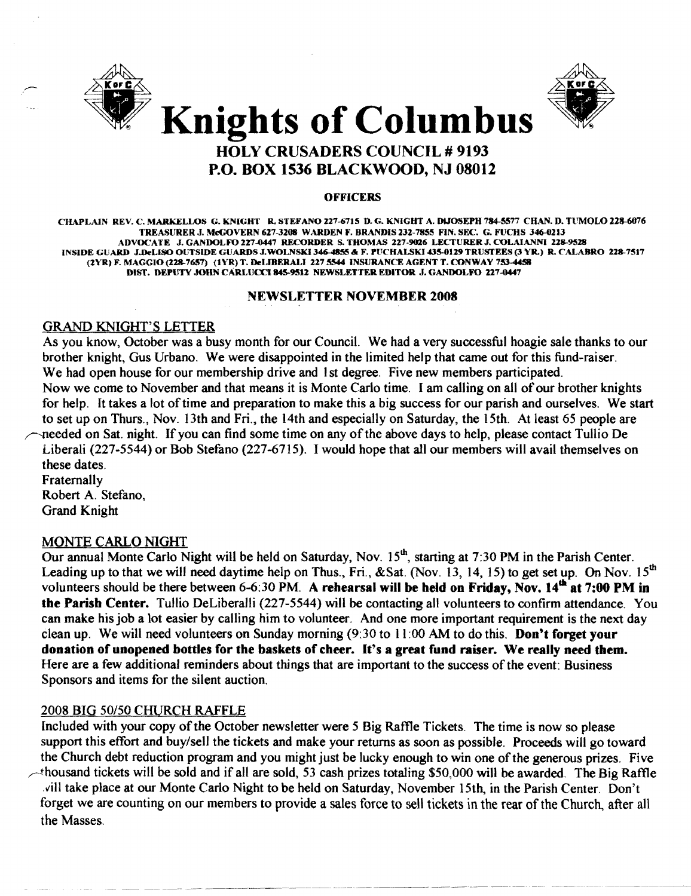



# HOLY CRUSADERS COUNCIL # 9193 P.O. BOX 1536 BLACKWOOD, NJ 08012

#### **OFFICERS**

CHAPLAIN REV. C. MARKELLOS G. KNIGHT R. STEFANO 227-6715 D. G. KNIGHT A. DIJOSEPH 784-5577 CHAN. D. TUMOLO 228-6076 TREASURER J. McGOVERN 627-3208 WARDEN F. BRANDIS 232-7855 FIN. SEC. G. FUCHS 346-0213 ADVOCATE J. GANDOLFO 227-0447 RECORDER S. THOMAS 227-9026 LECTURER J. COLAIANNI 228-9528 INSIDE GUARD J.DeLISO OUTSIDE GUARDS J.WOLNSKI 346-4855 & F. PUCHALSKI 435-0129 TRUSTEES (3 YR.) R. CALABRO 228-7517 (2YR) F. MAGGIO (228-7657) (1YR) T. DeLIBERALI 227 5544 INSURANCE AGENT T. CONWAY 753-4458 DIST. DEPUTY JOHN CARLUCCI 845-9512 NEWSLETTER EDITOR J. GANDOLFO 227-0447

# NEWSLETTER NOVEMBER 2008

#### GRAND KNIGHT'S LETTER

As you know, October was a busy month for our Council. We had a very successful hoagie sale thanks to our brother knight, Gus Urbano. We were disappointed in the limited help that came out for this fund-raiser. We had open house for our membership drive and 1st degree. Five new members participated. Now we come to November and that means it is Monte Carlo time. I am calling on all ofour brother knights for help. It takes a lot of time and preparation to make this a big success for our parish and ourselves. We start to set up on Thurs., Nov. 13th and Fri., the 14th and especially on Saturday, the 15th. At least 65 people are ~eeded on Sat. night. If you can find some time on any ofthe above days to help, please contact Tullio De Liberali (227-5544) or Bob Stefano (227-6715). I would hope that all our members will avail themselves on these dates. Fraternally Robert A. Stefano,

Grand Knight

# MONTE CARLO NIGHT

Our annual Monte Carlo Night will be held on Saturday, Nov. 15<sup>th</sup>, starting at 7:30 PM in the Parish Center. Leading up to that we will need daytime help on Thus., Fri., &Sat. (Nov. 13, 14, 15) to get set up. On Nov. 15<sup>th</sup> volunteers should be there between 6-6:30 PM. A rehearsal will be held on Friday, Nov. 14" at 7:00 PM in the Parish Center. Tullio DeLiberalli (227-5544) will be contacting all volunteers to confirm attendance. You can make his job a lot easier by calling him to volunteer. And one more important requirement is the next day clean up. We will need volunteers on Sunday morning (9:30 to 11 :00 AM to do this. Don't forget your donation of unopened bottles for the baskets of cheer. It's a great fund raiser. We really need them. Here are a few additional reminders about things that are important to the success ofthe event: Business Sponsors and items for the silent auction.

#### 2008 BIG *50/50* CHURCH RAFFLE

Included with your copy of the October newsletter were 5 Big Raffle Tickets. The time is now so please support this effort and buy/sell the tickets and make your returns as soon as possible. Proceeds will go toward the Church debt reduction program and you might just be lucky enough to win one of the generous prizes. Five  $\sim$ thousand tickets will be sold and if all are sold, 53 cash prizes totaling \$50,000 will be awarded. The Big Raffle ,viii take place at our Monte Carlo Night to be held on Saturday, November 15th, in the Parish Center. Don't forget we are counting on our members to provide a sales force to sell tickets in the rear of the Church, after all the Masses.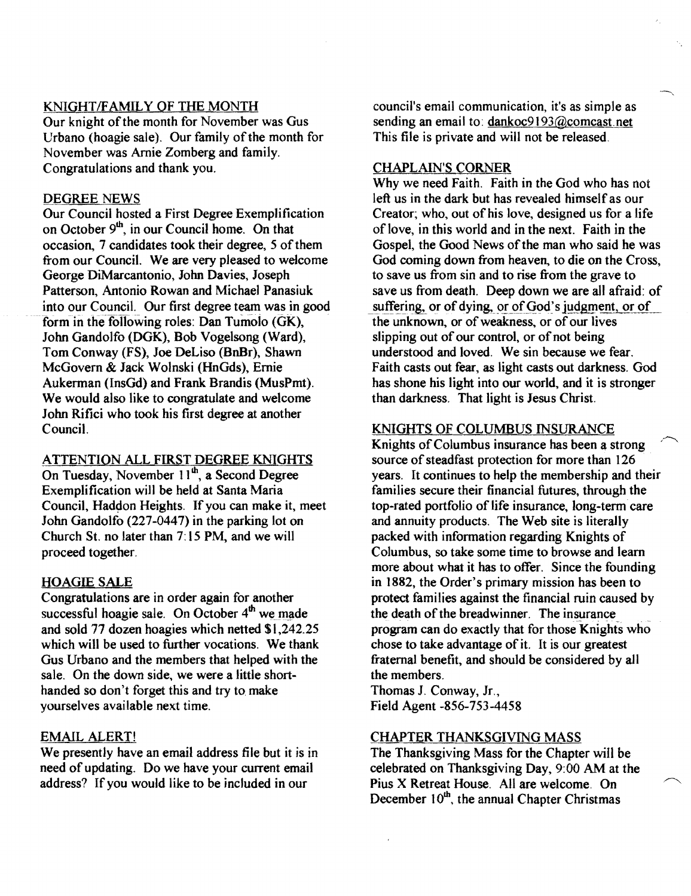#### KNIGHT/FAMILY OF THE MONTH

Our knight of the month for November was Gus Urbano (hoagie sale). Our family of the month for November was Arnie Zomberg and family. Congratulations and thank you.

# DEGREE NEWS

Our Council hosted a First Degree Exemplification on October  $9<sup>th</sup>$ , in our Council home. On that occasion, 7 candidates took their degree, 5 of them from our Council. We are very pleased to welcome George DiMarcantonio, John Davies, Joseph Patterson, Antonio Rowan and Michael Panasiuk into our Council. Our first degree team was in good form in the following roles: Dan Tumolo (GK), John Gandolfo (DGK), Bob Vogelsong (Ward), Tom Conway (FS), Joe DeLiso (BnBr), Shawn McGovern & Jack Wolnski (HnGds), Ernie Aukerman (lnsGd) and Frank Brandis (MusPmt). We would also like to congratulate and welcome John Rifici who took his first degree at another Council.

# ATTENTION ALL FIRST DEGREE KNIGHTS

On Tuesday, November 11<sup>th</sup>, a Second Degree Exemplification will be held at Santa Maria Council, Haddon Heights. If you can make it, meet John Gandolfo (227-0447) in the parking lot on Church St. no later than 7: 15 PM, and we will proceed together.

# HOAGIE SALE

Congratulations are in order again for another successful hoagie sale. On October 4<sup>th</sup> we made and sold 77 dozen hoagies which netted \$1,242.25 which will be used to further vocations. We thank Gus Urbano and the members that helped with the sale. On the down side, we were a little shorthanded so don't forget this and try to make yourselves available next time.

# EMAIL ALERT!

We presently have an email address file but it is in need of updating. Do we have your current email address? If you would like to be included in our

council's email communication, it's as simple as sending an email to: dankoc9193@comcast.net This file is private and will not be released.

#### CHAPLAIN'S CORNER

Why we need Faith. Faith in the God who has not left us in the dark but has revealed himself as our Creator; who, out of his love, designed us for a life of love, in this world and in the next. Faith in the Gospel, the Good News of the man who said he was God coming down from heaven, to die on the Cross, to save us from sin and to rise from the grave to save us from death. Deep down we are all afraid: of suffering, or of dying, or of God's judgment, or of the unknown, or of weakness, or of our lives slipping out of our control, or of not being understood and loved. We sin because we fear. Faith casts out fear, as light casts out darkness. God has shone his light into our world, and it is stronger than darkness. That light is Jesus Christ.

# KNIGHTS OF COLUMBUS INSURANCE

Knights of Columbus insurance has been a strong source of steadfast protection for more than 126 years. It continues to help the membership and their families secure their financial futures, through the top-rated portfolio of life insurance, long-term care and annuity products. The Web site is literally packed with information regarding Knights of Columbus, so take some time to browse and learn more about what it has to offer. Since the founding in 1882, the Order's primary mission has been to protect families against the financial ruin caused by the death of the breadwinner. The insurance program can do exactly that for those Knights who chose to take advantage of it. It is our greatest fraternal benefit, and should be considered by all the members.

Thomas 1. Conway, Jr., Field Agent -856-753-4458

# CHAPTER THANKSGIVING MASS

The Thanksgiving Mass for the Chapter will be celebrated on Thanksgiving Day, 9:00 AM at the Pius X Retreat House. AU are welcome. On December  $10^{th}$ , the annual Chapter Christmas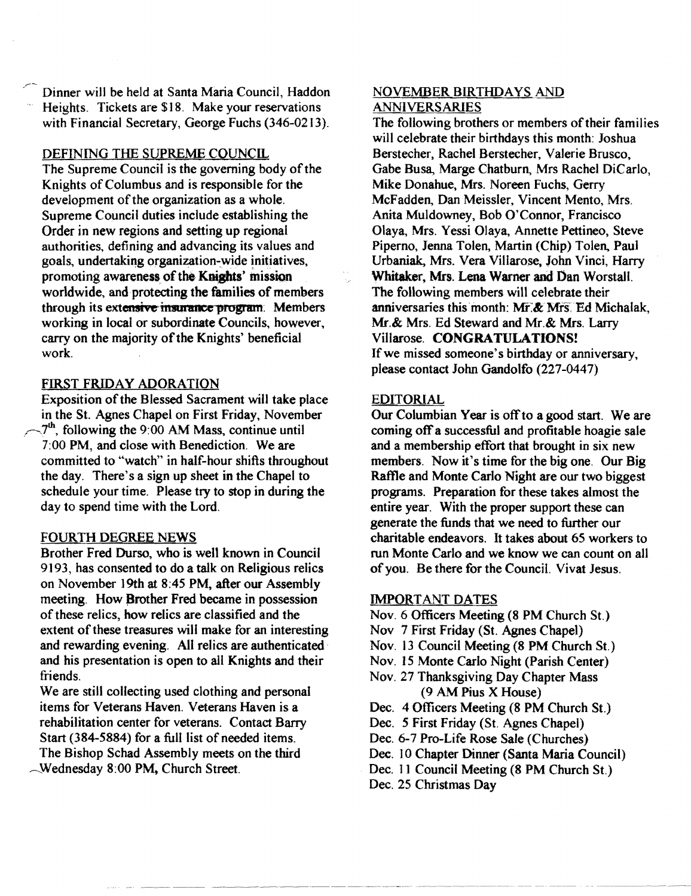Dinner will be held at Santa Maria Council, Haddon Heights. Tickets are \$18. Make your reservations with Financial Secretary, George Fuchs (346-0213).

#### DEFINING THE SUPREME COUNCIL

The Supreme Council is the governing body of the Knights of Columbus and is responsible for the development of the organization as a whole. Supreme Council duties include establishing the Order in new regions and setting up regional authorities, defining and advancing its values and goals, undertaking organization-wide initiatives, promoting awareness of the Knights' mission worldwide, and protecting the families of members through its extensive insurance program. Members working in local or subordinate Councils, however, carry on the majority of the Knights' beneficial work.

#### FIRST FRIDAY ADORATION

Exposition of the Blessed Sacrament will take place in the St. Agnes Chapel on First Friday, November  $\sim$ 7<sup>th</sup>, following the 9:00 AM Mass, continue until 7:00 PM, and close with Benediction. We are committed to "watch" in half-hour shifts throughout the day. There's a sign up sheet in the Chapel to schedule your time. Please try to stop in during the day to spend time with the Lord.

#### FOURTH DEGREE NEWS

Brother Fred Durso, who is well known in Council 9193, has consented to do a talk on Religious relics on November 19th at 8:45 PM, after our Assembly meeting. How Brother Fred became in possession of these relics, how relics are classified and the extent of these treasures will make for an interesting and rewarding evening. All relics are authenticated . and his presentation is open to all Knights and their friends.

We are still collecting used clothing and personal items for Veterans Haven. Veterans Haven is a rehabilitation center for veterans. Contact Barry Start (384-5884) for a full list of needed items. The Bishop Schad Assembly meets on the third ~Wednesday 8:00 PM, Church Street.

#### NOVEMBER BIRTHDAYS AND ANNIVERSARIES

The following brothers or members of their families will celebrate their birthdays this month: Joshua Berstecher, Rachel Berstecher, Valerie Brusco, Gabe Busa, Marge Chatburn, Mrs Rachel DiCarlo, Mike Donahue, Mrs. Noreen Fuchs, Gerry McFadden, Dan Meissler, Vincent Mento, Mrs. Anita Muldowney, Bob O'Connor, Francisco Olaya, Mrs. Yessi Olaya, Annette Pettineo, Steve Piperno, Jenna Tolen, Martin (Chip) Tolen, Paul Urbaniak, Mrs. Vera Villarose. John Vinci, Harry Whitaker, Mrs. Lena Warner and Dan Worstall. The following members will celebrate their anniversaries this month: Mr.& Mrs. Ed Michalak, Mr.& Mrs. Ed Steward and Mr.& Mrs. Larry Villarose. CONGRATULATIONS! If we missed someone's birthday or anniversary, please contact John Gandolfo (227-0447)

#### EDITORIAL

Our Columbian Year is off to a good start. We are coming off a successful and profitable hoagie sale and a membership effort that brought in six new members. Now it's time for the big one. Our Big Raftle and Monte Carlo Night are our two biggest programs. Preparation for these takes almost the entire year. With the proper support these can generate the funds that we need to further our charitable endeavors. It takes about 6S workers to run Monte Carlo and we know we can count on all of you. Be there for the Council. Vivat Jesus.

#### IMPORTANT DATES

- Nov. 6 Officers Meeting (8 PM Church St.)
- Nov 7 First Friday (St. Agnes Chapel)
- Nov. 13 Council Meeting (8 PM Church St.)
- Nov. 15 Monte Carlo Night (Parish Center)
- Nov. 27 Thanksgiving Day Chapter Mass (9 AM Pius X House)
- Dec. 4 Officers Meeting (8 PM Church St.)
- Dec. 5 First Friday (St. Agnes Chapel)
- Dec. 6-7 Pro-Life Rose Sale (Churches)
- Dec. 10 Chapter Dinner (Santa Maria Council)
- Dec. 11 Council Meeting (8 PM Church St.)
- Dec. 25 Christmas Day